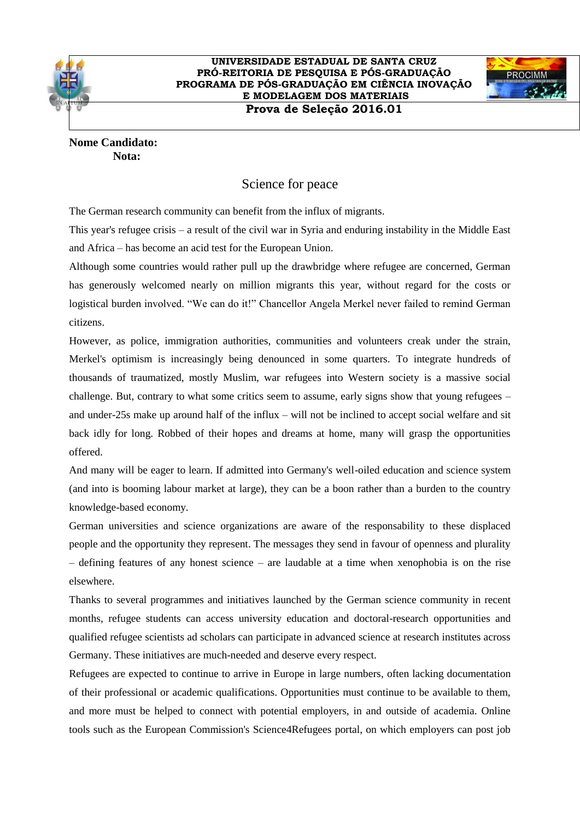



**Nome Candidato: Nota:**

## Science for peace

The German research community can benefit from the influx of migrants.

This year's refugee crisis – a result of the civil war in Syria and enduring instability in the Middle East and Africa – has become an acid test for the European Union.

Although some countries would rather pull up the drawbridge where refugee are concerned, German has generously welcomed nearly on million migrants this year, without regard for the costs or logistical burden involved. "We can do it!" Chancellor Angela Merkel never failed to remind German citizens.

However, as police, immigration authorities, communities and volunteers creak under the strain, Merkel's optimism is increasingly being denounced in some quarters. To integrate hundreds of thousands of traumatized, mostly Muslim, war refugees into Western society is a massive social challenge. But, contrary to what some critics seem to assume, early signs show that young refugees – and under-25s make up around half of the influx – will not be inclined to accept social welfare and sit back idly for long. Robbed of their hopes and dreams at home, many will grasp the opportunities offered.

And many will be eager to learn. If admitted into Germany's well-oiled education and science system (and into is booming labour market at large), they can be a boon rather than a burden to the country knowledge-based economy.

German universities and science organizations are aware of the responsability to these displaced people and the opportunity they represent. The messages they send in favour of openness and plurality – defining features of any honest science – are laudable at a time when xenophobia is on the rise elsewhere.

Thanks to several programmes and initiatives launched by the German science community in recent months, refugee students can access university education and doctoral-research opportunities and qualified refugee scientists ad scholars can participate in advanced science at research institutes across Germany. These initiatives are much-needed and deserve every respect.

Refugees are expected to continue to arrive in Europe in large numbers, often lacking documentation of their professional or academic qualifications. Opportunities must continue to be available to them, and more must be helped to connect with potential employers, in and outside of academia. Online tools such as the European Commission's Science4Refugees portal, on which employers can post job